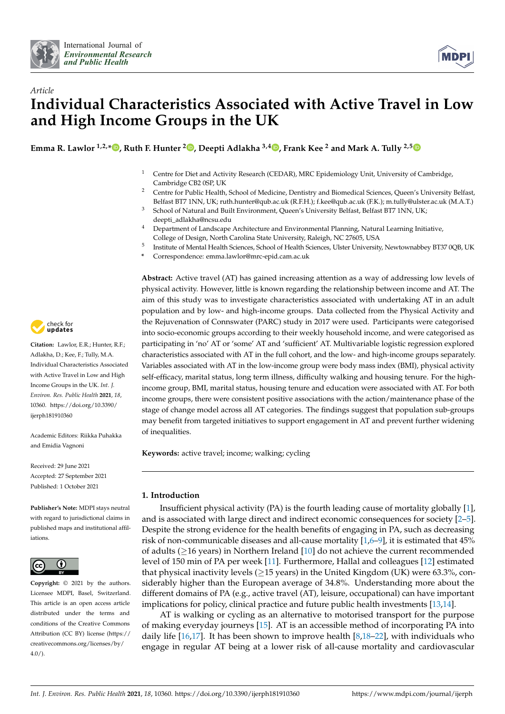



# *Article* **Individual Characteristics Associated with Active Travel in Low and High Income Groups in the UK**

**Emma R. Lawlor 1,2,\* [,](https://orcid.org/0000-0002-0742-0476) Ruth F. Hunter <sup>2</sup> [,](https://orcid.org/0000-0001-7315-0382) Deepti Adlakha 3,4 [,](https://orcid.org/0000-0002-1720-6780) Frank Kee <sup>2</sup> and Mark A. Tully 2,[5](https://orcid.org/0000-0001-9710-4014)**

- <sup>1</sup> Centre for Diet and Activity Research (CEDAR), MRC Epidemiology Unit, University of Cambridge, Cambridge CB2 0SP, UK
- <sup>2</sup> Centre for Public Health, School of Medicine, Dentistry and Biomedical Sciences, Queen's University Belfast, Belfast BT7 1NN, UK; ruth.hunter@qub.ac.uk (R.F.H.); f.kee@qub.ac.uk (F.K.); m.tully@ulster.ac.uk (M.A.T.)
- <sup>3</sup> School of Natural and Built Environment, Queen's University Belfast, Belfast BT7 1NN, UK; deepti\_adlakha@ncsu.edu
- <sup>4</sup> Department of Landscape Architecture and Environmental Planning, Natural Learning Initiative, College of Design, North Carolina State University, Raleigh, NC 27605, USA
- 5 Institute of Mental Health Sciences, School of Health Sciences, Ulster University, Newtownabbey BT37 0QB, UK
- **\*** Correspondence: emma.lawlor@mrc-epid.cam.ac.uk

**Abstract:** Active travel (AT) has gained increasing attention as a way of addressing low levels of physical activity. However, little is known regarding the relationship between income and AT. The aim of this study was to investigate characteristics associated with undertaking AT in an adult population and by low- and high-income groups. Data collected from the Physical Activity and the Rejuvenation of Connswater (PARC) study in 2017 were used. Participants were categorised into socio-economic groups according to their weekly household income, and were categorised as participating in 'no' AT or 'some' AT and 'sufficient' AT. Multivariable logistic regression explored characteristics associated with AT in the full cohort, and the low- and high-income groups separately. Variables associated with AT in the low-income group were body mass index (BMI), physical activity self-efficacy, marital status, long term illness, difficulty walking and housing tenure. For the highincome group, BMI, marital status, housing tenure and education were associated with AT. For both income groups, there were consistent positive associations with the action/maintenance phase of the stage of change model across all AT categories. The findings suggest that population sub-groups may benefit from targeted initiatives to support engagement in AT and prevent further widening of inequalities.

**Keywords:** active travel; income; walking; cycling

# **1. Introduction**

Insufficient physical activity (PA) is the fourth leading cause of mortality globally [\[1\]](#page-13-0), and is associated with large direct and indirect economic consequences for society [\[2](#page-13-1)[–5\]](#page-13-2). Despite the strong evidence for the health benefits of engaging in PA, such as decreasing risk of non-communicable diseases and all-cause mortality  $[1,6-9]$  $[1,6-9]$  $[1,6-9]$ , it is estimated that 45% of adults (≥16 years) in Northern Ireland [\[10\]](#page-14-2) do not achieve the current recommended level of 150 min of PA per week [\[11\]](#page-14-3). Furthermore, Hallal and colleagues [\[12\]](#page-14-4) estimated that physical inactivity levels ( $\geq$ 15 years) in the United Kingdom (UK) were 63.3%, considerably higher than the European average of 34.8%. Understanding more about the different domains of PA (e.g., active travel (AT), leisure, occupational) can have important implications for policy, clinical practice and future public health investments [\[13,](#page-14-5)[14\]](#page-14-6).

AT is walking or cycling as an alternative to motorised transport for the purpose of making everyday journeys [\[15\]](#page-14-7). AT is an accessible method of incorporating PA into daily life [\[16,](#page-14-8)[17\]](#page-14-9). It has been shown to improve health [\[8,](#page-14-10)[18](#page-14-11)[–22\]](#page-14-12), with individuals who engage in regular AT being at a lower risk of all-cause mortality and cardiovascular



**Citation:** Lawlor, E.R.; Hunter, R.F.; Adlakha, D.; Kee, F.; Tully, M.A. Individual Characteristics Associated with Active Travel in Low and High Income Groups in the UK. *Int. J. Environ. Res. Public Health* **2021**, *18*, 10360. [https://doi.org/10.3390/](https://doi.org/10.3390/ijerph181910360) [ijerph181910360](https://doi.org/10.3390/ijerph181910360)

Academic Editors: Riikka Puhakka and Emidia Vagnoni

Received: 29 June 2021 Accepted: 27 September 2021 Published: 1 October 2021

**Publisher's Note:** MDPI stays neutral with regard to jurisdictional claims in published maps and institutional affiliations.



**Copyright:** © 2021 by the authors. Licensee MDPI, Basel, Switzerland. This article is an open access article distributed under the terms and conditions of the Creative Commons Attribution (CC BY) license (https:/[/](https://creativecommons.org/licenses/by/4.0/) [creativecommons.org/licenses/by/](https://creativecommons.org/licenses/by/4.0/) 4.0/).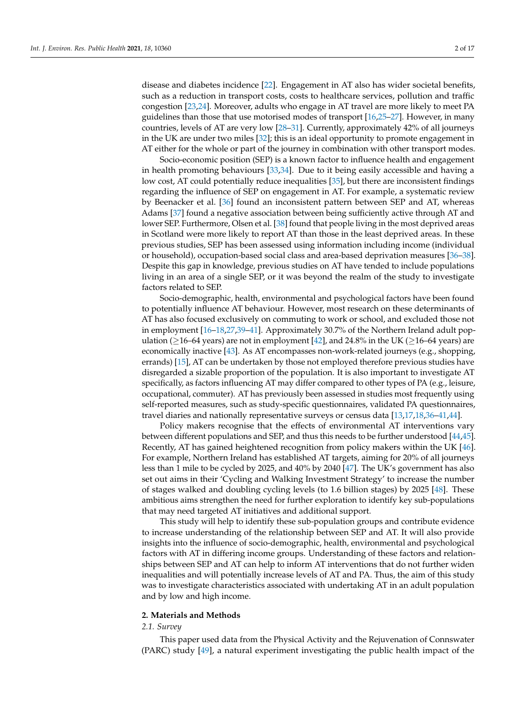disease and diabetes incidence [\[22\]](#page-14-12). Engagement in AT also has wider societal benefits, such as a reduction in transport costs, costs to healthcare services, pollution and traffic congestion [\[23,](#page-14-13)[24\]](#page-14-14). Moreover, adults who engage in AT travel are more likely to meet PA guidelines than those that use motorised modes of transport [\[16](#page-14-8)[,25–](#page-14-15)[27\]](#page-14-16). However, in many countries, levels of AT are very low [\[28](#page-14-17)[–31\]](#page-14-18). Currently, approximately 42% of all journeys in the UK are under two miles [\[32\]](#page-15-0); this is an ideal opportunity to promote engagement in AT either for the whole or part of the journey in combination with other transport modes.

Socio-economic position (SEP) is a known factor to influence health and engagement in health promoting behaviours [\[33,](#page-15-1)[34\]](#page-15-2). Due to it being easily accessible and having a low cost, AT could potentially reduce inequalities [\[35\]](#page-15-3), but there are inconsistent findings regarding the influence of SEP on engagement in AT. For example, a systematic review by Beenacker et al. [\[36\]](#page-15-4) found an inconsistent pattern between SEP and AT, whereas Adams [\[37\]](#page-15-5) found a negative association between being sufficiently active through AT and lower SEP. Furthermore, Olsen et al. [\[38\]](#page-15-6) found that people living in the most deprived areas in Scotland were more likely to report AT than those in the least deprived areas. In these previous studies, SEP has been assessed using information including income (individual or household), occupation-based social class and area-based deprivation measures [\[36](#page-15-4)[–38\]](#page-15-6). Despite this gap in knowledge, previous studies on AT have tended to include populations living in an area of a single SEP, or it was beyond the realm of the study to investigate factors related to SEP.

Socio-demographic, health, environmental and psychological factors have been found to potentially influence AT behaviour. However, most research on these determinants of AT has also focused exclusively on commuting to work or school, and excluded those not in employment [\[16–](#page-14-8)[18,](#page-14-11)[27](#page-14-16)[,39](#page-15-7)[–41\]](#page-15-8). Approximately 30.7% of the Northern Ireland adult population ( $\geq$ 16–64 years) are not in employment [\[42\]](#page-15-9), and 24.8% in the UK ( $\geq$ 16–64 years) are economically inactive [\[43\]](#page-15-10). As AT encompasses non-work-related journeys (e.g., shopping, errands) [\[15\]](#page-14-7), AT can be undertaken by those not employed therefore previous studies have disregarded a sizable proportion of the population. It is also important to investigate AT specifically, as factors influencing AT may differ compared to other types of PA (e.g., leisure, occupational, commuter). AT has previously been assessed in studies most frequently using self-reported measures, such as study-specific questionnaires, validated PA questionnaires, travel diaries and nationally representative surveys or census data [\[13,](#page-14-5)[17,](#page-14-9)[18,](#page-14-11)[36–](#page-15-4)[41](#page-15-8)[,44\]](#page-15-11).

Policy makers recognise that the effects of environmental AT interventions vary between different populations and SEP, and thus this needs to be further understood [\[44](#page-15-11)[,45\]](#page-15-12). Recently, AT has gained heightened recognition from policy makers within the UK [\[46\]](#page-15-13). For example, Northern Ireland has established AT targets, aiming for 20% of all journeys less than 1 mile to be cycled by 2025, and 40% by 2040 [\[47\]](#page-15-14). The UK's government has also set out aims in their 'Cycling and Walking Investment Strategy' to increase the number of stages walked and doubling cycling levels (to 1.6 billion stages) by 2025 [\[48\]](#page-15-15). These ambitious aims strengthen the need for further exploration to identify key sub-populations that may need targeted AT initiatives and additional support.

This study will help to identify these sub-population groups and contribute evidence to increase understanding of the relationship between SEP and AT. It will also provide insights into the influence of socio-demographic, health, environmental and psychological factors with AT in differing income groups. Understanding of these factors and relationships between SEP and AT can help to inform AT interventions that do not further widen inequalities and will potentially increase levels of AT and PA. Thus, the aim of this study was to investigate characteristics associated with undertaking AT in an adult population and by low and high income.

## **2. Materials and Methods**

#### *2.1. Survey*

This paper used data from the Physical Activity and the Rejuvenation of Connswater (PARC) study [\[49\]](#page-15-16), a natural experiment investigating the public health impact of the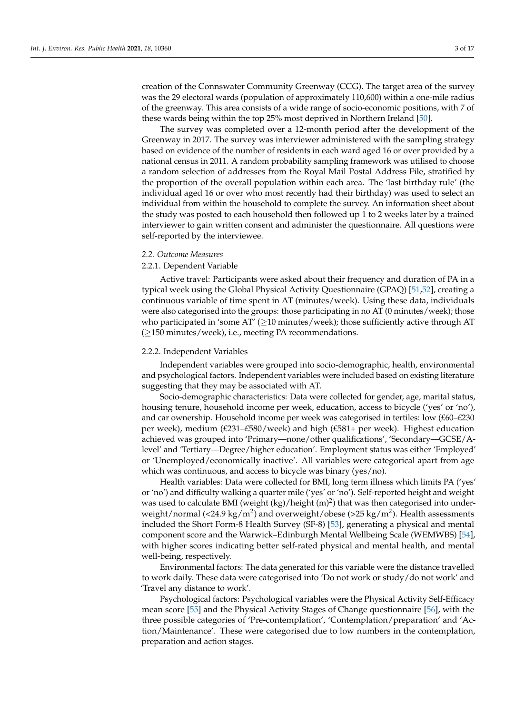creation of the Connswater Community Greenway (CCG). The target area of the survey was the 29 electoral wards (population of approximately 110,600) within a one-mile radius of the greenway. This area consists of a wide range of socio-economic positions, with 7 of these wards being within the top 25% most deprived in Northern Ireland [\[50\]](#page-15-17).

The survey was completed over a 12-month period after the development of the Greenway in 2017. The survey was interviewer administered with the sampling strategy based on evidence of the number of residents in each ward aged 16 or over provided by a national census in 2011. A random probability sampling framework was utilised to choose a random selection of addresses from the Royal Mail Postal Address File, stratified by the proportion of the overall population within each area. The 'last birthday rule' (the individual aged 16 or over who most recently had their birthday) was used to select an individual from within the household to complete the survey. An information sheet about the study was posted to each household then followed up 1 to 2 weeks later by a trained interviewer to gain written consent and administer the questionnaire. All questions were self-reported by the interviewee.

## *2.2. Outcome Measures*

## 2.2.1. Dependent Variable

Active travel: Participants were asked about their frequency and duration of PA in a typical week using the Global Physical Activity Questionnaire (GPAQ) [\[51](#page-15-18)[,52\]](#page-15-19), creating a continuous variable of time spent in AT (minutes/week). Using these data, individuals were also categorised into the groups: those participating in no AT (0 minutes/week); those who participated in 'some AT' ( $\geq$ 10 minutes/week); those sufficiently active through AT (≥150 minutes/week), i.e., meeting PA recommendations.

#### 2.2.2. Independent Variables

Independent variables were grouped into socio-demographic, health, environmental and psychological factors. Independent variables were included based on existing literature suggesting that they may be associated with AT.

Socio-demographic characteristics: Data were collected for gender, age, marital status, housing tenure, household income per week, education, access to bicycle ('yes' or 'no'), and car ownership. Household income per week was categorised in tertiles: low (£60–£230 per week), medium (£231–£580/week) and high (£581+ per week). Highest education achieved was grouped into 'Primary—none/other qualifications', 'Secondary—GCSE/Alevel' and 'Tertiary—Degree/higher education'. Employment status was either 'Employed' or 'Unemployed/economically inactive'. All variables were categorical apart from age which was continuous, and access to bicycle was binary (yes/no).

Health variables: Data were collected for BMI, long term illness which limits PA ('yes' or 'no') and difficulty walking a quarter mile ('yes' or 'no'). Self-reported height and weight was used to calculate BMI (weight  $(kg)/$ height  $(m)^2$ ) that was then categorised into underweight/normal (<24.9 kg/m<sup>2</sup>) and overweight/obese (>25 kg/m<sup>2</sup>). Health assessments included the Short Form-8 Health Survey (SF-8) [\[53\]](#page-15-20), generating a physical and mental component score and the Warwick–Edinburgh Mental Wellbeing Scale (WEMWBS) [\[54\]](#page-15-21), with higher scores indicating better self-rated physical and mental health, and mental well-being, respectively.

Environmental factors: The data generated for this variable were the distance travelled to work daily. These data were categorised into 'Do not work or study/do not work' and 'Travel any distance to work'.

Psychological factors: Psychological variables were the Physical Activity Self-Efficacy mean score [\[55\]](#page-15-22) and the Physical Activity Stages of Change questionnaire [\[56\]](#page-15-23), with the three possible categories of 'Pre-contemplation', 'Contemplation/preparation' and 'Action/Maintenance'. These were categorised due to low numbers in the contemplation, preparation and action stages.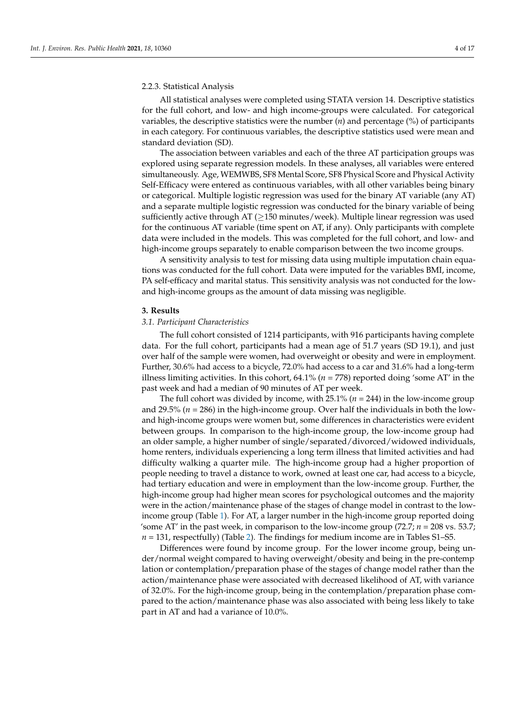#### 2.2.3. Statistical Analysis

All statistical analyses were completed using STATA version 14. Descriptive statistics for the full cohort, and low- and high income-groups were calculated. For categorical variables, the descriptive statistics were the number (*n*) and percentage (%) of participants in each category. For continuous variables, the descriptive statistics used were mean and standard deviation (SD).

The association between variables and each of the three AT participation groups was explored using separate regression models. In these analyses, all variables were entered simultaneously. Age, WEMWBS, SF8 Mental Score, SF8 Physical Score and Physical Activity Self-Efficacy were entered as continuous variables, with all other variables being binary or categorical. Multiple logistic regression was used for the binary AT variable (any AT) and a separate multiple logistic regression was conducted for the binary variable of being sufficiently active through AT ( $\geq$ 150 minutes/week). Multiple linear regression was used for the continuous AT variable (time spent on AT, if any). Only participants with complete data were included in the models. This was completed for the full cohort, and low- and high-income groups separately to enable comparison between the two income groups.

A sensitivity analysis to test for missing data using multiple imputation chain equations was conducted for the full cohort. Data were imputed for the variables BMI, income, PA self-efficacy and marital status. This sensitivity analysis was not conducted for the lowand high-income groups as the amount of data missing was negligible.

#### **3. Results**

#### *3.1. Participant Characteristics*

The full cohort consisted of 1214 participants, with 916 participants having complete data. For the full cohort, participants had a mean age of 51.7 years (SD 19.1), and just over half of the sample were women, had overweight or obesity and were in employment. Further, 30.6% had access to a bicycle, 72.0% had access to a car and 31.6% had a long-term illness limiting activities. In this cohort, 64.1% (*n* = 778) reported doing 'some AT' in the past week and had a median of 90 minutes of AT per week.

The full cohort was divided by income, with 25.1% (*n* = 244) in the low-income group and 29.5% ( $n = 286$ ) in the high-income group. Over half the individuals in both the lowand high-income groups were women but, some differences in characteristics were evident between groups. In comparison to the high-income group, the low-income group had an older sample, a higher number of single/separated/divorced/widowed individuals, home renters, individuals experiencing a long term illness that limited activities and had difficulty walking a quarter mile. The high-income group had a higher proportion of people needing to travel a distance to work, owned at least one car, had access to a bicycle, had tertiary education and were in employment than the low-income group. Further, the high-income group had higher mean scores for psychological outcomes and the majority were in the action/maintenance phase of the stages of change model in contrast to the lowincome group (Table [1\)](#page-4-0). For AT, a larger number in the high-income group reported doing 'some AT' in the past week, in comparison to the low-income group  $(72.7; n = 208 \text{ vs. } 53.7;$  $n = 131$ , respectfully) (Table [2\)](#page-5-0). The findings for medium income are in Tables S1–S5.

Differences were found by income group. For the lower income group, being under/normal weight compared to having overweight/obesity and being in the pre-contemp lation or contemplation/preparation phase of the stages of change model rather than the action/maintenance phase were associated with decreased likelihood of AT, with variance of 32.0%. For the high-income group, being in the contemplation/preparation phase compared to the action/maintenance phase was also associated with being less likely to take part in AT and had a variance of 10.0%.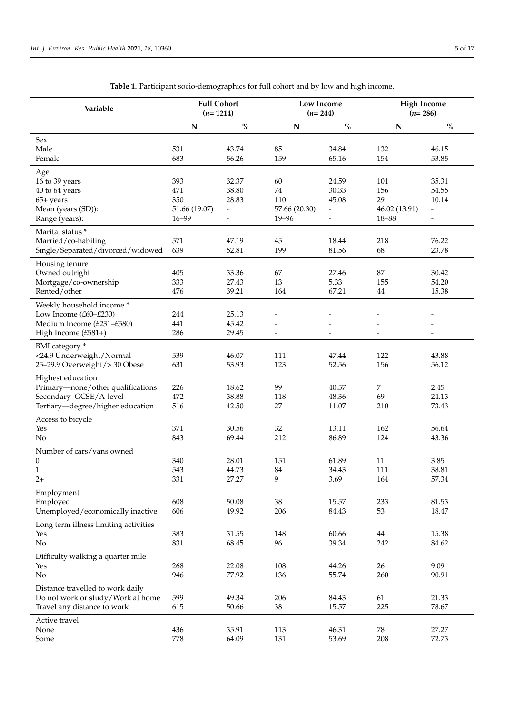<span id="page-4-0"></span>

| Variable                                                                                                             | <b>Full Cohort</b><br>$(n=1214)$                |                                                          | Low Income<br>$(n=244)$                       |                                                     | <b>High Income</b><br>$(n=286)$                |                                                             |  |
|----------------------------------------------------------------------------------------------------------------------|-------------------------------------------------|----------------------------------------------------------|-----------------------------------------------|-----------------------------------------------------|------------------------------------------------|-------------------------------------------------------------|--|
|                                                                                                                      | ${\bf N}$                                       | $\mathbf{O}_{\mathbf{O}}^{\prime}$                       | ${\bf N}$                                     | $\mathbf{O}_{\mathbf{O}}^{\prime}$                  | ${\bf N}$                                      | $\mathbf{O}_{\mathbf{O}}^{\prime}$                          |  |
| Sex<br>Male<br>Female                                                                                                | 531<br>683                                      | 43.74<br>56.26                                           | 85<br>159                                     | 34.84<br>65.16                                      | 132<br>154                                     | 46.15<br>53.85                                              |  |
| Age<br>16 to 39 years<br>40 to 64 years<br>$65+$ years<br>Mean (years (SD)):<br>Range (years):                       | 393<br>471<br>350<br>51.66 (19.07)<br>$16 - 99$ | 32.37<br>38.80<br>28.83<br>$\overline{\phantom{a}}$<br>- | 60<br>74<br>110<br>57.66 (20.30)<br>$19 - 96$ | 24.59<br>30.33<br>45.08<br>$\overline{\phantom{a}}$ | 101<br>156<br>29<br>46.02 (13.91)<br>$18 - 88$ | 35.31<br>54.55<br>10.14<br>$\overline{a}$<br>$\overline{a}$ |  |
| Marital status *<br>Married/co-habiting<br>Single/Separated/divorced/widowed                                         | 571<br>639                                      | 47.19<br>52.81                                           | 45<br>199                                     | 18.44<br>81.56                                      | 218<br>68                                      | 76.22<br>23.78                                              |  |
| Housing tenure<br>Owned outright<br>Mortgage/co-ownership<br>Rented/other                                            | 405<br>333<br>476                               | 33.36<br>27.43<br>39.21                                  | 67<br>13<br>164                               | 27.46<br>5.33<br>67.21                              | 87<br>155<br>44                                | 30.42<br>54.20<br>15.38                                     |  |
| Weekly household income*<br>Low Income (£60-£230)<br>Medium Income (£231-£580)<br>High Income (£581+)                | 244<br>441<br>286                               | 25.13<br>45.42<br>29.45                                  | $\blacksquare$                                | $\overline{\phantom{a}}$                            | $\overline{\phantom{0}}$                       | $\overline{\phantom{a}}$                                    |  |
| BMI category *<br><24.9 Underweight/Normal<br>25-29.9 Overweight/> 30 Obese                                          | 539<br>631                                      | 46.07<br>53.93                                           | 111<br>123                                    | 47.44<br>52.56                                      | 122<br>156                                     | 43.88<br>56.12                                              |  |
| Highest education<br>Primary-none/other qualifications<br>Secondary-GCSE/A-level<br>Tertiary-degree/higher education | 226<br>472<br>516                               | 18.62<br>38.88<br>42.50                                  | 99<br>118<br>27                               | 40.57<br>48.36<br>11.07                             | 7<br>69<br>210                                 | 2.45<br>24.13<br>73.43                                      |  |
| Access to bicycle<br>Yes<br>No                                                                                       | 371<br>843                                      | 30.56<br>69.44                                           | 32<br>212                                     | 13.11<br>86.89                                      | 162<br>124                                     | 56.64<br>43.36                                              |  |
| Number of cars/vans owned<br>$\boldsymbol{0}$<br>1<br>$2+$                                                           | 340<br>543<br>331                               | 28.01<br>44.73<br>27.27                                  | 151<br>84<br>9                                | 61.89<br>34.43<br>3.69                              | 11<br>111<br>164                               | 3.85<br>38.81<br>57.34                                      |  |
| Employment<br>Employed<br>Unemployed/economically inactive                                                           | 608<br>606                                      | 50.08<br>49.92                                           | 38<br>206                                     | 15.57<br>84.43                                      | 233<br>53                                      | 81.53<br>18.47                                              |  |
| Long term illness limiting activities<br>Yes<br>No                                                                   | 383<br>831                                      | 31.55<br>68.45                                           | 148<br>96                                     | 60.66<br>39.34                                      | $44\,$<br>242                                  | 15.38<br>84.62                                              |  |
| Difficulty walking a quarter mile<br>Yes<br>No                                                                       | 268<br>946                                      | 22.08<br>77.92                                           | 108<br>136                                    | 44.26<br>55.74                                      | 26<br>260                                      | 9.09<br>90.91                                               |  |
| Distance travelled to work daily<br>Do not work or study/Work at home<br>Travel any distance to work                 | 599<br>615                                      | 49.34<br>50.66                                           | 206<br>38                                     | 84.43<br>15.57                                      | 61<br>225                                      | 21.33<br>78.67                                              |  |
| Active travel<br>None<br>Some                                                                                        | 436<br>778                                      | 35.91<br>64.09                                           | 113<br>131                                    | 46.31<br>53.69                                      | 78<br>208                                      | 27.27<br>72.73                                              |  |

**Table 1.** Participant socio-demographics for full cohort and by low and high income.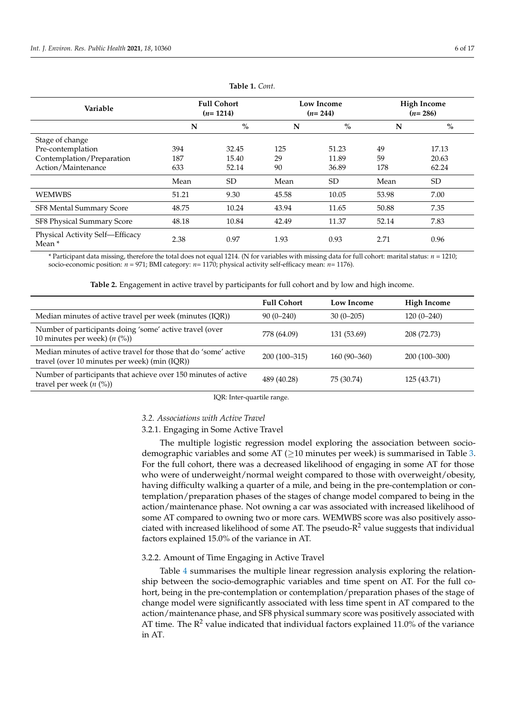| Variable                                             | <b>Full Cohort</b><br>$(n=1214)$ |           | <b>Low Income</b><br>$(n=244)$ |           |       | <b>High Income</b><br>$(n=286)$ |  |
|------------------------------------------------------|----------------------------------|-----------|--------------------------------|-----------|-------|---------------------------------|--|
|                                                      | N                                | $\%$      | N                              | $\%$      | N     | $\%$                            |  |
| Stage of change                                      |                                  |           |                                |           |       |                                 |  |
| Pre-contemplation                                    | 394                              | 32.45     | 125                            | 51.23     | 49    | 17.13                           |  |
| Contemplation/Preparation                            | 187                              | 15.40     | 29                             | 11.89     | 59    | 20.63                           |  |
| Action/Maintenance                                   | 633                              | 52.14     | 90                             | 36.89     | 178   | 62.24                           |  |
|                                                      | Mean                             | <b>SD</b> | Mean                           | <b>SD</b> | Mean  | SD                              |  |
| <b>WEMWBS</b>                                        | 51.21                            | 9.30      | 45.58                          | 10.05     | 53.98 | 7.00                            |  |
| SF8 Mental Summary Score                             | 48.75                            | 10.24     | 43.94                          | 11.65     | 50.88 | 7.35                            |  |
| SF8 Physical Summary Score                           | 48.18                            | 10.84     | 42.49                          | 11.37     | 52.14 | 7.83                            |  |
| Physical Activity Self-Efficacy<br>Mean <sup>*</sup> | 2.38                             | 0.97      | 1.93                           | 0.93      | 2.71  | 0.96                            |  |

**Table 1.** *Cont.*

\* Participant data missing, therefore the total does not equal 1214. (N for variables with missing data for full cohort: marital status: *n* = 1210; socio-economic position: *n* = 971; BMI category: *n*= 1170; physical activity self-efficacy mean: *n*= 1176).

|  |  | Table 2. Engagement in active travel by participants for full cohort and by low and high income. |  |  |  |  |  |  |  |  |
|--|--|--------------------------------------------------------------------------------------------------|--|--|--|--|--|--|--|--|
|--|--|--------------------------------------------------------------------------------------------------|--|--|--|--|--|--|--|--|

<span id="page-5-0"></span>

|                                                                                                                  | <b>Full Cohort</b> | Low Income    | <b>High Income</b> |
|------------------------------------------------------------------------------------------------------------------|--------------------|---------------|--------------------|
| Median minutes of active travel per week (minutes (IQR))                                                         | $90(0-240)$        | $30(0-205)$   | $120(0-240)$       |
| Number of participants doing 'some' active travel (over<br>10 minutes per week) $(n \ (\%)$                      | 778 (64.09)        | 131 (53.69)   | 208 (72.73)        |
| Median minutes of active travel for those that do 'some' active<br>travel (over 10 minutes per week) (min (IQR)) | $200(100-315)$     | $160(90-360)$ | 200 (100-300)      |
| Number of participants that achieve over 150 minutes of active<br>travel per week $(n \, (%)$                    | 489 (40.28)        | 75 (30.74)    | 125 (43.71)        |
|                                                                                                                  |                    |               |                    |

IQR: Inter-quartile range.

# *3.2. Associations with Active Travel*

## 3.2.1. Engaging in Some Active Travel

The multiple logistic regression model exploring the association between sociodemographic variables and some AT ( $\geq$ 10 minutes per week) is summarised in Table [3.](#page-6-0) For the full cohort, there was a decreased likelihood of engaging in some AT for those who were of underweight/normal weight compared to those with overweight/obesity, having difficulty walking a quarter of a mile, and being in the pre-contemplation or contemplation/preparation phases of the stages of change model compared to being in the action/maintenance phase. Not owning a car was associated with increased likelihood of some AT compared to owning two or more cars. WEMWBS score was also positively associated with increased likelihood of some AT. The pseudo- $R^2$  value suggests that individual factors explained 15.0% of the variance in AT.

# 3.2.2. Amount of Time Engaging in Active Travel

Table [4](#page-7-0) summarises the multiple linear regression analysis exploring the relationship between the socio-demographic variables and time spent on AT. For the full cohort, being in the pre-contemplation or contemplation/preparation phases of the stage of change model were significantly associated with less time spent in AT compared to the action/maintenance phase, and SF8 physical summary score was positively associated with AT time. The  $R^2$  value indicated that individual factors explained 11.0% of the variance in AT.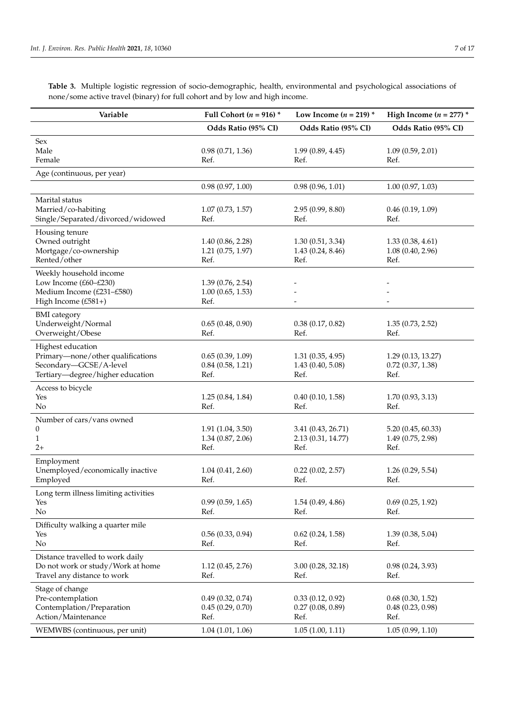<span id="page-6-0"></span>**Table 3.** Multiple logistic regression of socio-demographic, health, environmental and psychological associations of none/some active travel (binary) for full cohort and by low and high income.

| Variable                                                                                                             | Full Cohort ( $n = 916$ ) *                       | Low Income $(n = 219)$ *                         | High Income ( $n = 277$ ) *                        |
|----------------------------------------------------------------------------------------------------------------------|---------------------------------------------------|--------------------------------------------------|----------------------------------------------------|
|                                                                                                                      | Odds Ratio (95% CI)                               | Odds Ratio (95% CI)                              | Odds Ratio (95% CI)                                |
| Sex<br>Male<br>Female                                                                                                | 0.98(0.71, 1.36)<br>Ref.                          | 1.99(0.89, 4.45)<br>Ref.                         | 1.09(0.59, 2.01)<br>Ref.                           |
| Age (continuous, per year)                                                                                           |                                                   |                                                  |                                                    |
|                                                                                                                      | 0.98(0.97, 1.00)                                  | 0.98(0.96, 1.01)                                 | 1.00(0.97, 1.03)                                   |
| Marital status<br>Married/co-habiting<br>Single/Separated/divorced/widowed                                           | 1.07(0.73, 1.57)<br>Ref.                          | 2.95(0.99, 8.80)<br>Ref.                         | 0.46(0.19, 1.09)<br>Ref.                           |
| Housing tenure<br>Owned outright<br>Mortgage/co-ownership<br>Rented/other                                            | 1.40(0.86, 2.28)<br>1.21(0.75, 1.97)<br>Ref.      | 1.30(0.51, 3.34)<br>1.43(0.24, 8.46)<br>Ref.     | 1.33(0.38, 4.61)<br>1.08(0.40, 2.96)<br>Ref.       |
| Weekly household income<br>Low Income (£60-£230)<br>Medium Income (£231-£580)<br>High Income $(E581+)$               | 1.39(0.76, 2.54)<br>1.00(0.65, 1.53)<br>Ref.      |                                                  |                                                    |
| <b>BMI</b> category<br>Underweight/Normal<br>Overweight/Obese                                                        | 0.65(0.48, 0.90)<br>Ref.                          | 0.38(0.17, 0.82)<br>Ref.                         | 1.35(0.73, 2.52)<br>Ref.                           |
| Highest education<br>Primary-none/other qualifications<br>Secondary-GCSE/A-level<br>Tertiary-degree/higher education | 0.65(0.39, 1.09)<br>$0.84$ $(0.58, 1.21)$<br>Ref. | 1.31(0.35, 4.95)<br>1.43(0.40, 5.08)<br>Ref.     | 1.29(0.13, 13.27)<br>$0.72$ $(0.37, 1.38)$<br>Ref. |
| Access to bicycle<br>Yes<br>No                                                                                       | 1.25(0.84, 1.84)<br>Ref.                          | 0.40(0.10, 1.58)<br>Ref.                         | 1.70(0.93, 3.13)<br>Ref.                           |
| Number of cars/vans owned<br>0<br>1<br>$2+$                                                                          | 1.91(1.04, 3.50)<br>1.34 (0.87, 2.06)<br>Ref.     | 3.41 (0.43, 26.71)<br>2.13 (0.31, 14.77)<br>Ref. | 5.20(0.45, 60.33)<br>1.49(0.75, 2.98)<br>Ref.      |
| Employment<br>Unemployed/economically inactive<br>Employed                                                           | 1.04(0.41, 2.60)<br>Ref.                          | $0.22$ $(0.02, 2.57)$<br>Ref.                    | 1.26(0.29, 5.54)<br>Ref.                           |
| Long term illness limiting activities<br>Yes<br>No                                                                   | 0.99(0.59, 1.65)<br>Ref.                          | 1.54(0.49, 4.86)<br>Ref.                         | 0.69(0.25, 1.92)<br>Ref.                           |
| Difficulty walking a quarter mile<br>Yes<br>No                                                                       | 0.56(0.33, 0.94)<br>Ref.                          | 0.62(0.24, 1.58)<br>Ref.                         | 1.39(0.38, 5.04)<br>Ref.                           |
| Distance travelled to work daily<br>Do not work or study/Work at home<br>Travel any distance to work                 | 1.12(0.45, 2.76)<br>Ref.                          | 3.00(0.28, 32.18)<br>Ref.                        | 0.98(0.24, 3.93)<br>Ref.                           |
| Stage of change<br>Pre-contemplation<br>Contemplation/Preparation<br>Action/Maintenance                              | 0.49(0.32, 0.74)<br>0.45(0.29, 0.70)<br>Ref.      | 0.33(0.12, 0.92)<br>0.27(0.08, 0.89)<br>Ref.     | 0.68(0.30, 1.52)<br>0.48(0.23, 0.98)<br>Ref.       |
| WEMWBS (continuous, per unit)                                                                                        | 1.04(1.01, 1.06)                                  | 1.05(1.00, 1.11)                                 | 1.05(0.99, 1.10)                                   |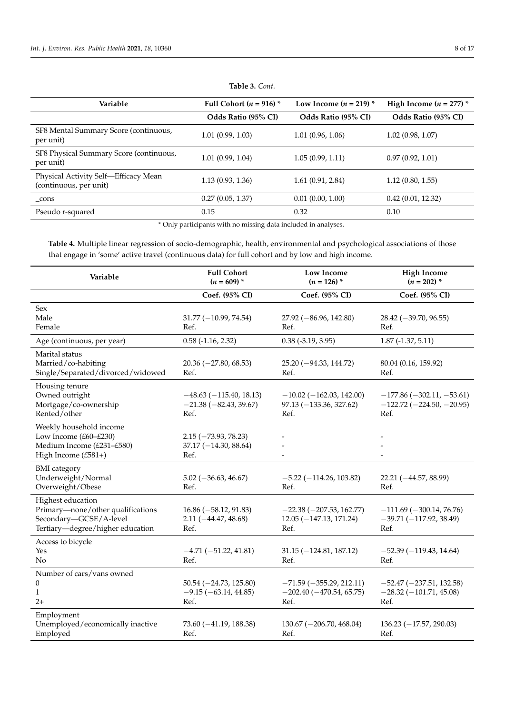| Variable                                                       | Full Cohort ( $n = 916$ ) * | Low Income ( $n = 219$ ) * | High Income ( $n = 277$ ) * |
|----------------------------------------------------------------|-----------------------------|----------------------------|-----------------------------|
|                                                                | Odds Ratio (95% CI)         | Odds Ratio (95% CI)        | Odds Ratio (95% CI)         |
| SF8 Mental Summary Score (continuous,<br>per unit)             | 1.01(0.99, 1.03)            | 1.01(0.96, 1.06)           | 1.02(0.98, 1.07)            |
| SF8 Physical Summary Score (continuous,<br>per unit)           | 1.01(0.99, 1.04)            | 1.05(0.99, 1.11)           | 0.97(0.92, 1.01)            |
| Physical Activity Self-Efficacy Mean<br>(continuous, per unit) | 1.13(0.93, 1.36)            | 1.61(0.91, 2.84)           | 1.12(0.80, 1.55)            |
| $_{cons}$                                                      | 0.27(0.05, 1.37)            | 0.01(0.00, 1.00)           | 0.42(0.01, 12.32)           |
| Pseudo r-squared                                               | 0.15                        | 0.32                       | 0.10                        |

**Table 3.** *Cont.*

\* Only participants with no missing data included in analyses.

<span id="page-7-0"></span>**Table 4.** Multiple linear regression of socio-demographic, health, environmental and psychological associations of those that engage in 'some' active travel (continuous data) for full cohort and by low and high income.

| Variable                                                                                                             | <b>Full Cohort</b><br>$(n = 609)$ *                         | <b>Low Income</b><br>$(n = 126)$ *                                  | <b>High Income</b><br>$(n = 202)$ *                                |
|----------------------------------------------------------------------------------------------------------------------|-------------------------------------------------------------|---------------------------------------------------------------------|--------------------------------------------------------------------|
|                                                                                                                      | Coef. (95% CI)                                              | Coef. (95% CI)                                                      | Coef. (95% CI)                                                     |
| Sex<br>Male<br>Female                                                                                                | $31.77 (-10.99, 74.54)$<br>Ref.                             | $27.92 (-86.96, 142.80)$<br>Ref.                                    | $28.42 (-39.70, 96.55)$<br>Ref.                                    |
| Age (continuous, per year)                                                                                           | $0.58$ (-1.16, 2.32)                                        | $0.38$ (-3.19, 3.95)                                                | $1.87$ (-1.37, 5.11)                                               |
| Marital status<br>Married/co-habiting<br>Single/Separated/divorced/widowed                                           | $20.36 (-27.80, 68.53)$<br>Ref.                             | $25.20(-94.33, 144.72)$<br>Ref.                                     | 80.04 (0.16, 159.92)<br>Ref.                                       |
| Housing tenure<br>Owned outright<br>Mortgage/co-ownership<br>Rented/other                                            | $-48.63(-115.40, 18.13)$<br>$-21.38(-82.43, 39.67)$<br>Ref. | $-10.02$ ( $-162.03$ , 142.00)<br>$97.13 (-133.36, 327.62)$<br>Ref. | $-177.86(-302.11,-53.61)$<br>$-122.72(-224.50, -20.95)$<br>Ref.    |
| Weekly household income<br>Low Income (£60-£230)<br>Medium Income (£231-£580)<br>High Income (£581+)                 | $2.15(-73.93, 78.23)$<br>$37.17 (-14.30, 88.64)$<br>Ref.    |                                                                     |                                                                    |
| <b>BMI</b> category<br>Underweight/Normal<br>Overweight/Obese                                                        | $5.02 (-36.63, 46.67)$<br>Ref.                              | $-5.22$ ( $-114.26$ , 103.82)<br>Ref.                               | $22.21 (-44.57, 88.99)$<br>Ref.                                    |
| Highest education<br>Primary-none/other qualifications<br>Secondary-GCSE/A-level<br>Tertiary-degree/higher education | $16.86 (-58.12, 91.83)$<br>$2.11 (-44.47, 48.68)$<br>Ref.   | $-22.38(-207.53, 162.77)$<br>$12.05(-147.13, 171.24)$<br>Ref.       | $-111.69$ ( $-300.14$ , 76.76)<br>$-39.71(-117.92, 38.49)$<br>Ref. |
| Access to bicycle<br>Yes<br>No                                                                                       | $-4.71(-51.22, 41.81)$<br>Ref.                              | $31.15 (-124.81, 187.12)$<br>Ref.                                   | $-52.39(-119.43, 14.64)$<br>Ref.                                   |
| Number of cars/vans owned<br>$\theta$<br>1<br>$2+$                                                                   | $50.54 (-24.73, 125.80)$<br>$-9.15(-63.14, 44.85)$<br>Ref.  | $-71.59(-355.29, 212.11)$<br>$-202.40(-470.54, 65.75)$<br>Ref.      | $-52.47 (-237.51, 132.58)$<br>$-28.32(-101.71, 45.08)$<br>Ref.     |
| Employment<br>Unemployed/economically inactive<br>Employed                                                           | $73.60 (-41.19, 188.38)$<br>Ref.                            | $130.67$ (-206.70, 468.04)<br>Ref.                                  | $136.23 (-17.57, 290.03)$<br>Ref.                                  |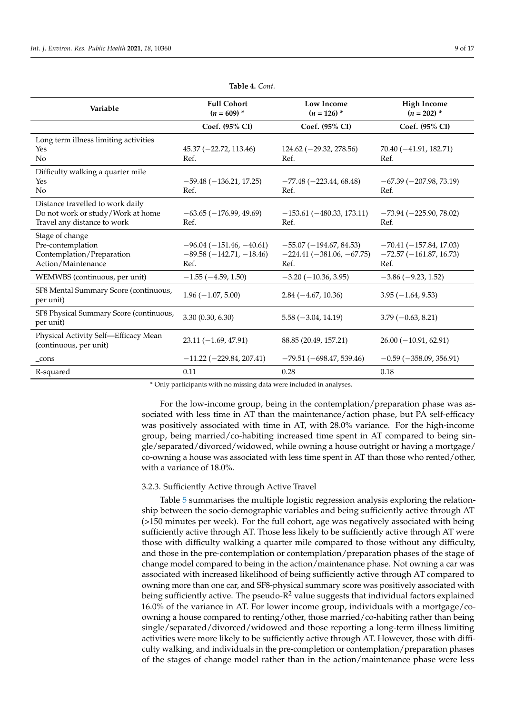| Variable                                                                                             | <b>Full Cohort</b><br>$(n = 609)^*$                          | <b>Low Income</b><br>$(n = 126)$ *                             | <b>High Income</b><br>$(n = 202)^*$                          |
|------------------------------------------------------------------------------------------------------|--------------------------------------------------------------|----------------------------------------------------------------|--------------------------------------------------------------|
|                                                                                                      | Coef. (95% CI)                                               | Coef. (95% CI)                                                 | Coef. (95% CI)                                               |
| Long term illness limiting activities<br>Yes<br>N <sub>o</sub>                                       | $45.37 (-22.72, 113.46)$<br>Ref.                             | $124.62 (-29.32, 278.56)$<br>Ref.                              | $70.40(-41.91, 182.71)$<br>Ref.                              |
| Difficulty walking a quarter mile<br>Yes<br>No                                                       | $-59.48(-136.21, 17.25)$<br>Ref.                             | $-77.48(-223.44, 68.48)$<br>Ref.                               | $-67.39(-207.98, 73.19)$<br>Ref.                             |
| Distance travelled to work daily<br>Do not work or study/Work at home<br>Travel any distance to work | $-63.65(-176.99, 49.69)$<br>Ref.                             | $-153.61(-480.33, 173.11)$<br>Ref.                             | $-73.94 (-225.90, 78.02)$<br>Ref.                            |
| Stage of change<br>Pre-contemplation<br>Contemplation/Preparation<br>Action/Maintenance              | $-96.04(-151.46,-40.61)$<br>$-89.58(-142.71,-18.46)$<br>Ref. | $-55.07(-194.67, 84.53)$<br>$-224.41(-381.06, -67.75)$<br>Ref. | $-70.41(-157.84, 17.03)$<br>$-72.57(-161.87, 16.73)$<br>Ref. |
| WEMWBS (continuous, per unit)                                                                        | $-1.55(-4.59, 1.50)$                                         | $-3.20(-10.36, 3.95)$                                          | $-3.86(-9.23, 1.52)$                                         |
| SF8 Mental Summary Score (continuous,<br>per unit)                                                   | $1.96(-1.07, 5.00)$                                          | $2.84(-4.67, 10.36)$                                           | $3.95(-1.64, 9.53)$                                          |
| SF8 Physical Summary Score (continuous,<br>per unit)                                                 | 3.30(0.30, 6.30)                                             | $5.58(-3.04, 14.19)$                                           | $3.79(-0.63, 8.21)$                                          |
| Physical Activity Self-Efficacy Mean<br>(continuous, per unit)                                       | $23.11(-1.69, 47.91)$                                        | 88.85 (20.49, 157.21)                                          | $26.00(-10.91, 62.91)$                                       |
| $_{cons}$                                                                                            | $-11.22(-229.84, 207.41)$                                    | $-79.51(-698.47, 539.46)$                                      | $-0.59$ ( $-358.09$ , 356.91)                                |
| R-squared                                                                                            | 0.11                                                         | 0.28                                                           | 0.18                                                         |

**Table 4.** *Cont.*

\* Only participants with no missing data were included in analyses.

For the low-income group, being in the contemplation/preparation phase was associated with less time in AT than the maintenance/action phase, but PA self-efficacy was positively associated with time in AT, with 28.0% variance. For the high-income group, being married/co-habiting increased time spent in AT compared to being single/separated/divorced/widowed, while owning a house outright or having a mortgage/ co-owning a house was associated with less time spent in AT than those who rented/other, with a variance of 18.0%.

## 3.2.3. Sufficiently Active through Active Travel

Table [5](#page-9-0) summarises the multiple logistic regression analysis exploring the relationship between the socio-demographic variables and being sufficiently active through AT (>150 minutes per week). For the full cohort, age was negatively associated with being sufficiently active through AT. Those less likely to be sufficiently active through AT were those with difficulty walking a quarter mile compared to those without any difficulty, and those in the pre-contemplation or contemplation/preparation phases of the stage of change model compared to being in the action/maintenance phase. Not owning a car was associated with increased likelihood of being sufficiently active through AT compared to owning more than one car, and SF8-physical summary score was positively associated with being sufficiently active. The pseudo- $R^2$  value suggests that individual factors explained 16.0% of the variance in AT. For lower income group, individuals with a mortgage/coowning a house compared to renting/other, those married/co-habiting rather than being single/separated/divorced/widowed and those reporting a long-term illness limiting activities were more likely to be sufficiently active through AT. However, those with difficulty walking, and individuals in the pre-completion or contemplation/preparation phases of the stages of change model rather than in the action/maintenance phase were less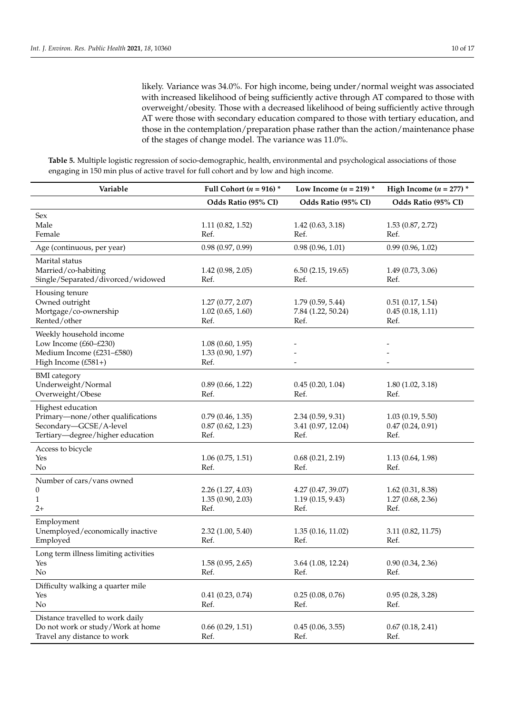likely. Variance was 34.0%. For high income, being under/normal weight was associated with increased likelihood of being sufficiently active through AT compared to those with overweight/obesity. Those with a decreased likelihood of being sufficiently active through AT were those with secondary education compared to those with tertiary education, and those in the contemplation/preparation phase rather than the action/maintenance phase of the stages of change model. The variance was 11.0%.

<span id="page-9-0"></span>**Table 5.** Multiple logistic regression of socio-demographic, health, environmental and psychological associations of those engaging in 150 min plus of active travel for full cohort and by low and high income.

| Variable                                                                                                             | Full Cohort ( $n = 916$ ) *                   | Low Income ( $n = 219$ ) *                     | High Income ( $n = 277$ ) *                  |
|----------------------------------------------------------------------------------------------------------------------|-----------------------------------------------|------------------------------------------------|----------------------------------------------|
|                                                                                                                      | Odds Ratio (95% CI)                           | Odds Ratio (95% CI)                            | Odds Ratio (95% CI)                          |
| Sex<br>Male<br>Female                                                                                                | 1.11(0.82, 1.52)<br>Ref.                      | 1.42(0.63, 3.18)<br>Ref.                       | 1.53(0.87, 2.72)<br>Ref.                     |
| Age (continuous, per year)                                                                                           | 0.98(0.97, 0.99)                              | 0.98(0.96, 1.01)                               | 0.99(0.96, 1.02)                             |
| Marital status<br>Married/co-habiting<br>Single/Separated/divorced/widowed                                           | 1.42(0.98, 2.05)<br>Ref.                      | 6.50(2.15, 19.65)<br>Ref.                      | 1.49(0.73, 3.06)<br>Ref.                     |
| Housing tenure<br>Owned outright<br>Mortgage/co-ownership<br>Rented/other                                            | 1.27(0.77, 2.07)<br>1.02(0.65, 1.60)<br>Ref.  | 1.79(0.59, 5.44)<br>7.84 (1.22, 50.24)<br>Ref. | 0.51(0.17, 1.54)<br>0.45(0.18, 1.11)<br>Ref. |
| Weekly household income<br>Low Income (£60-£230)<br>Medium Income (£231-£580)<br>High Income (£581+)                 | 1.08(0.60, 1.95)<br>1.33 (0.90, 1.97)<br>Ref. |                                                |                                              |
| <b>BMI</b> category<br>Underweight/Normal<br>Overweight/Obese                                                        | 0.89(0.66, 1.22)<br>Ref.                      | 0.45(0.20, 1.04)<br>Ref.                       | 1.80(1.02, 3.18)<br>Ref.                     |
| Highest education<br>Primary-none/other qualifications<br>Secondary-GCSE/A-level<br>Tertiary-degree/higher education | 0.79(0.46, 1.35)<br>0.87(0.62, 1.23)<br>Ref.  | 2.34(0.59, 9.31)<br>3.41 (0.97, 12.04)<br>Ref. | 1.03(0.19, 5.50)<br>0.47(0.24, 0.91)<br>Ref. |
| Access to bicycle<br>Yes<br>N <sub>o</sub>                                                                           | 1.06(0.75, 1.51)<br>Ref.                      | 0.68(0.21, 2.19)<br>Ref.                       | 1.13(0.64, 1.98)<br>Ref.                     |
| Number of cars/vans owned<br>0<br>1<br>$2+$                                                                          | 2.26(1.27, 4.03)<br>1.35(0.90, 2.03)<br>Ref.  | 4.27 (0.47, 39.07)<br>1.19(0.15, 9.43)<br>Ref. | 1.62(0.31, 8.38)<br>1.27(0.68, 2.36)<br>Ref. |
| Employment<br>Unemployed/economically inactive<br>Employed                                                           | 2.32(1.00, 5.40)<br>Ref.                      | 1.35(0.16, 11.02)<br>Ref.                      | 3.11 (0.82, 11.75)<br>Ref.                   |
| Long term illness limiting activities<br>Yes<br>No                                                                   | 1.58(0.95, 2.65)<br>Ref.                      | 3.64 (1.08, 12.24)<br>Ref.                     | 0.90(0.34, 2.36)<br>Ref.                     |
| Difficulty walking a quarter mile<br>Yes<br>No                                                                       | 0.41(0.23, 0.74)<br>Ref.                      | 0.25(0.08, 0.76)<br>Ref.                       | 0.95(0.28, 3.28)<br>Ref.                     |
| Distance travelled to work daily<br>Do not work or study/Work at home<br>Travel any distance to work                 | 0.66(0.29, 1.51)<br>Ref.                      | 0.45(0.06, 3.55)<br>Ref.                       | 0.67(0.18, 2.41)<br>Ref.                     |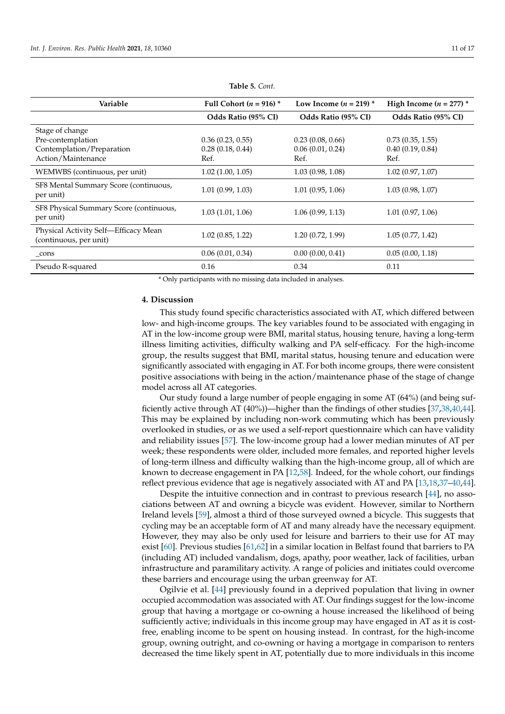| Variable                                                       | Full Cohort ( $n = 916$ ) * | Low Income $(n = 219)^*$ | High Income $(n = 277)$ * |
|----------------------------------------------------------------|-----------------------------|--------------------------|---------------------------|
|                                                                | Odds Ratio (95% CI)         | Odds Ratio (95% CI)      | Odds Ratio (95% CI)       |
| Stage of change                                                |                             |                          |                           |
| Pre-contemplation                                              | 0.36(0.23, 0.55)            | 0.23(0.08, 0.66)         | 0.73(0.35, 1.55)          |
| Contemplation/Preparation                                      | 0.28(0.18, 0.44)            | 0.06(0.01, 0.24)         | 0.40(0.19, 0.84)          |
| Action/Maintenance                                             | Ref.                        | Ref.                     | Ref.                      |
| WEMWBS (continuous, per unit)                                  | $1.02$ $(1.00, 1.05)$       | 1.03(0.98, 1.08)         | 1.02(0.97, 1.07)          |
| SF8 Mental Summary Score (continuous,<br>per unit)             | 1.01(0.99, 1.03)            | 1.01(0.95, 1.06)         | 1.03(0.98, 1.07)          |
| SF8 Physical Summary Score (continuous,<br>per unit)           | 1.03(1.01, 1.06)            | 1.06(0.99, 1.13)         | 1.01(0.97, 1.06)          |
| Physical Activity Self-Efficacy Mean<br>(continuous, per unit) | 1.02(0.85, 1.22)            | 1.20(0.72, 1.99)         | 1.05(0.77, 1.42)          |
| cons                                                           | 0.06(0.01, 0.34)            | 0.00(0.00, 0.41)         | 0.05(0.00, 1.18)          |
| Pseudo R-squared                                               | 0.16                        | 0.34                     | 0.11                      |

**Table 5.** *Cont.*

\* Only participants with no missing data included in analyses.

#### **4. Discussion**

This study found specific characteristics associated with AT, which differed between low- and high-income groups. The key variables found to be associated with engaging in AT in the low-income group were BMI, marital status, housing tenure, having a long-term illness limiting activities, difficulty walking and PA self-efficacy. For the high-income group, the results suggest that BMI, marital status, housing tenure and education were significantly associated with engaging in AT. For both income groups, there were consistent positive associations with being in the action/maintenance phase of the stage of change model across all AT categories.

Our study found a large number of people engaging in some AT (64%) (and being sufficiently active through AT (40%))—higher than the findings of other studies [\[37](#page-15-5)[,38](#page-15-6)[,40](#page-15-24)[,44\]](#page-15-11). This may be explained by including non-work commuting which has been previously overlooked in studies, or as we used a self-report questionnaire which can have validity and reliability issues [\[57\]](#page-16-0). The low-income group had a lower median minutes of AT per week; these respondents were older, included more females, and reported higher levels of long-term illness and difficulty walking than the high-income group, all of which are known to decrease engagement in PA [\[12](#page-14-4)[,58\]](#page-16-1). Indeed, for the whole cohort, our findings reflect previous evidence that age is negatively associated with AT and PA [\[13,](#page-14-5)[18,](#page-14-11)[37](#page-15-5)[–40](#page-15-24)[,44\]](#page-15-11).

Despite the intuitive connection and in contrast to previous research [\[44\]](#page-15-11), no associations between AT and owning a bicycle was evident. However, similar to Northern Ireland levels [\[59\]](#page-16-2), almost a third of those surveyed owned a bicycle. This suggests that cycling may be an acceptable form of AT and many already have the necessary equipment. However, they may also be only used for leisure and barriers to their use for AT may exist [\[60\]](#page-16-3). Previous studies [\[61,](#page-16-4)[62\]](#page-16-5) in a similar location in Belfast found that barriers to PA (including AT) included vandalism, dogs, apathy, poor weather, lack of facilities, urban infrastructure and paramilitary activity. A range of policies and initiates could overcome these barriers and encourage using the urban greenway for AT.

Ogilvie et al. [\[44\]](#page-15-11) previously found in a deprived population that living in owner occupied accommodation was associated with AT. Our findings suggest for the low-income group that having a mortgage or co-owning a house increased the likelihood of being sufficiently active; individuals in this income group may have engaged in AT as it is costfree, enabling income to be spent on housing instead. In contrast, for the high-income group, owning outright, and co-owning or having a mortgage in comparison to renters decreased the time likely spent in AT, potentially due to more individuals in this income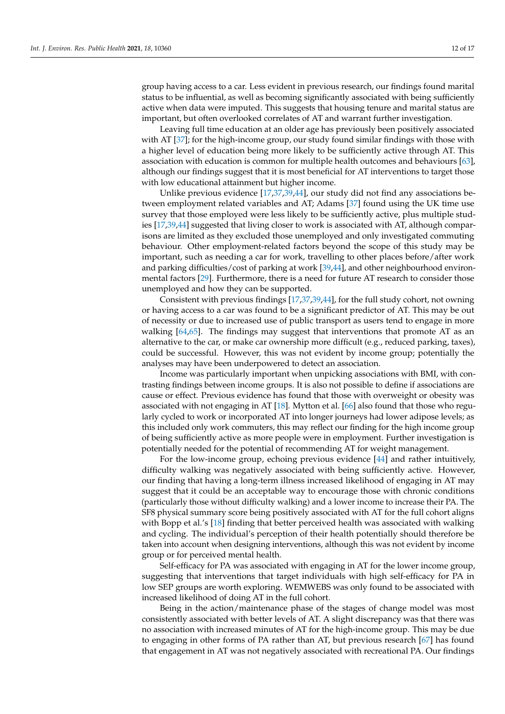group having access to a car. Less evident in previous research, our findings found marital status to be influential, as well as becoming significantly associated with being sufficiently active when data were imputed. This suggests that housing tenure and marital status are important, but often overlooked correlates of AT and warrant further investigation.

Leaving full time education at an older age has previously been positively associated with AT [\[37\]](#page-15-5); for the high-income group, our study found similar findings with those with a higher level of education being more likely to be sufficiently active through AT. This association with education is common for multiple health outcomes and behaviours [\[63\]](#page-16-6), although our findings suggest that it is most beneficial for AT interventions to target those with low educational attainment but higher income.

Unlike previous evidence [\[17,](#page-14-9)[37,](#page-15-5)[39,](#page-15-7)[44\]](#page-15-11), our study did not find any associations between employment related variables and AT; Adams [\[37\]](#page-15-5) found using the UK time use survey that those employed were less likely to be sufficiently active, plus multiple studies [\[17](#page-14-9)[,39](#page-15-7)[,44\]](#page-15-11) suggested that living closer to work is associated with AT, although comparisons are limited as they excluded those unemployed and only investigated commuting behaviour. Other employment-related factors beyond the scope of this study may be important, such as needing a car for work, travelling to other places before/after work and parking difficulties/cost of parking at work [\[39,](#page-15-7)[44\]](#page-15-11), and other neighbourhood environmental factors [\[29\]](#page-14-19). Furthermore, there is a need for future AT research to consider those unemployed and how they can be supported.

Consistent with previous findings [\[17](#page-14-9)[,37](#page-15-5)[,39](#page-15-7)[,44\]](#page-15-11), for the full study cohort, not owning or having access to a car was found to be a significant predictor of AT. This may be out of necessity or due to increased use of public transport as users tend to engage in more walking [\[64,](#page-16-7)[65\]](#page-16-8). The findings may suggest that interventions that promote AT as an alternative to the car, or make car ownership more difficult (e.g., reduced parking, taxes), could be successful. However, this was not evident by income group; potentially the analyses may have been underpowered to detect an association.

Income was particularly important when unpicking associations with BMI, with contrasting findings between income groups. It is also not possible to define if associations are cause or effect. Previous evidence has found that those with overweight or obesity was associated with not engaging in AT [\[18\]](#page-14-11). Mytton et al. [\[66\]](#page-16-9) also found that those who regularly cycled to work or incorporated AT into longer journeys had lower adipose levels; as this included only work commuters, this may reflect our finding for the high income group of being sufficiently active as more people were in employment. Further investigation is potentially needed for the potential of recommending AT for weight management.

For the low-income group, echoing previous evidence [\[44\]](#page-15-11) and rather intuitively, difficulty walking was negatively associated with being sufficiently active. However, our finding that having a long-term illness increased likelihood of engaging in AT may suggest that it could be an acceptable way to encourage those with chronic conditions (particularly those without difficulty walking) and a lower income to increase their PA. The SF8 physical summary score being positively associated with AT for the full cohort aligns with Bopp et al.'s [\[18\]](#page-14-11) finding that better perceived health was associated with walking and cycling. The individual's perception of their health potentially should therefore be taken into account when designing interventions, although this was not evident by income group or for perceived mental health.

Self-efficacy for PA was associated with engaging in AT for the lower income group, suggesting that interventions that target individuals with high self-efficacy for PA in low SEP groups are worth exploring. WEMWEBS was only found to be associated with increased likelihood of doing AT in the full cohort.

Being in the action/maintenance phase of the stages of change model was most consistently associated with better levels of AT. A slight discrepancy was that there was no association with increased minutes of AT for the high-income group. This may be due to engaging in other forms of PA rather than AT, but previous research [\[67\]](#page-16-10) has found that engagement in AT was not negatively associated with recreational PA. Our findings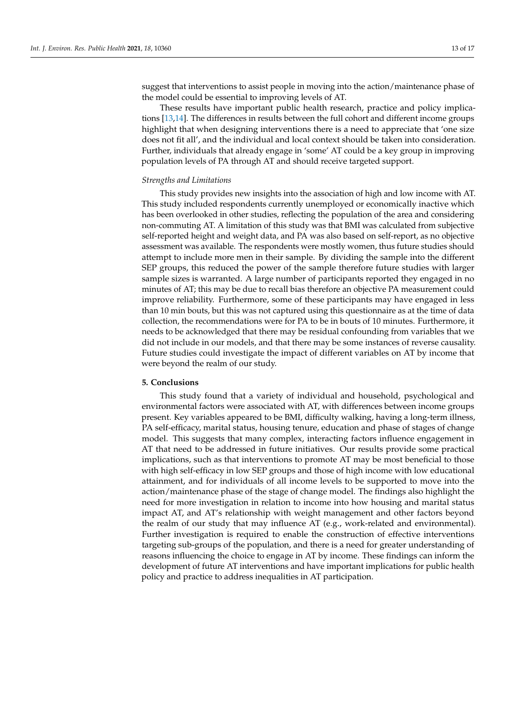suggest that interventions to assist people in moving into the action/maintenance phase of the model could be essential to improving levels of AT.

These results have important public health research, practice and policy implications [\[13](#page-14-5)[,14\]](#page-14-6). The differences in results between the full cohort and different income groups highlight that when designing interventions there is a need to appreciate that 'one size does not fit all', and the individual and local context should be taken into consideration. Further, individuals that already engage in 'some' AT could be a key group in improving population levels of PA through AT and should receive targeted support.

#### *Strengths and Limitations*

This study provides new insights into the association of high and low income with AT. This study included respondents currently unemployed or economically inactive which has been overlooked in other studies, reflecting the population of the area and considering non-commuting AT. A limitation of this study was that BMI was calculated from subjective self-reported height and weight data, and PA was also based on self-report, as no objective assessment was available. The respondents were mostly women, thus future studies should attempt to include more men in their sample. By dividing the sample into the different SEP groups, this reduced the power of the sample therefore future studies with larger sample sizes is warranted. A large number of participants reported they engaged in no minutes of AT; this may be due to recall bias therefore an objective PA measurement could improve reliability. Furthermore, some of these participants may have engaged in less than 10 min bouts, but this was not captured using this questionnaire as at the time of data collection, the recommendations were for PA to be in bouts of 10 minutes. Furthermore, it needs to be acknowledged that there may be residual confounding from variables that we did not include in our models, and that there may be some instances of reverse causality. Future studies could investigate the impact of different variables on AT by income that were beyond the realm of our study.

#### **5. Conclusions**

This study found that a variety of individual and household, psychological and environmental factors were associated with AT, with differences between income groups present. Key variables appeared to be BMI, difficulty walking, having a long-term illness, PA self-efficacy, marital status, housing tenure, education and phase of stages of change model. This suggests that many complex, interacting factors influence engagement in AT that need to be addressed in future initiatives. Our results provide some practical implications, such as that interventions to promote AT may be most beneficial to those with high self-efficacy in low SEP groups and those of high income with low educational attainment, and for individuals of all income levels to be supported to move into the action/maintenance phase of the stage of change model. The findings also highlight the need for more investigation in relation to income into how housing and marital status impact AT, and AT's relationship with weight management and other factors beyond the realm of our study that may influence AT (e.g., work-related and environmental). Further investigation is required to enable the construction of effective interventions targeting sub-groups of the population, and there is a need for greater understanding of reasons influencing the choice to engage in AT by income. These findings can inform the development of future AT interventions and have important implications for public health policy and practice to address inequalities in AT participation.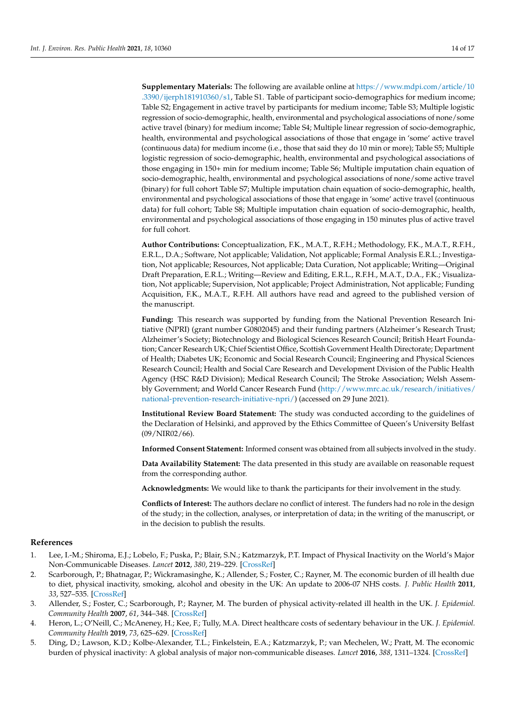**Supplementary Materials:** The following are available online at [https://www.mdpi.com/article/10](https://www.mdpi.com/article/10.3390/ijerph181910360/s1) [.3390/ijerph181910360/s1,](https://www.mdpi.com/article/10.3390/ijerph181910360/s1) Table S1. Table of participant socio-demographics for medium income; Table S2; Engagement in active travel by participants for medium income; Table S3; Multiple logistic regression of socio-demographic, health, environmental and psychological associations of none/some active travel (binary) for medium income; Table S4; Multiple linear regression of socio-demographic, health, environmental and psychological associations of those that engage in 'some' active travel (continuous data) for medium income (i.e., those that said they do 10 min or more); Table S5; Multiple logistic regression of socio-demographic, health, environmental and psychological associations of those engaging in 150+ min for medium income; Table S6; Multiple imputation chain equation of socio-demographic, health, environmental and psychological associations of none/some active travel (binary) for full cohort Table S7; Multiple imputation chain equation of socio-demographic, health, environmental and psychological associations of those that engage in 'some' active travel (continuous data) for full cohort; Table S8; Multiple imputation chain equation of socio-demographic, health, environmental and psychological associations of those engaging in 150 minutes plus of active travel for full cohort.

**Author Contributions:** Conceptualization, F.K., M.A.T., R.F.H.; Methodology, F.K., M.A.T., R.F.H., E.R.L., D.A.; Software, Not applicable; Validation, Not applicable; Formal Analysis E.R.L.; Investigation, Not applicable; Resources, Not applicable; Data Curation, Not applicable; Writing—Original Draft Preparation, E.R.L.; Writing—Review and Editing, E.R.L., R.F.H., M.A.T., D.A., F.K.; Visualization, Not applicable; Supervision, Not applicable; Project Administration, Not applicable; Funding Acquisition, F.K., M.A.T., R.F.H. All authors have read and agreed to the published version of the manuscript.

**Funding:** This research was supported by funding from the National Prevention Research Initiative (NPRI) (grant number G0802045) and their funding partners (Alzheimer's Research Trust; Alzheimer's Society; Biotechnology and Biological Sciences Research Council; British Heart Foundation; Cancer Research UK; Chief Scientist Office, Scottish Government Health Directorate; Department of Health; Diabetes UK; Economic and Social Research Council; Engineering and Physical Sciences Research Council; Health and Social Care Research and Development Division of the Public Health Agency (HSC R&D Division); Medical Research Council; The Stroke Association; Welsh Assembly Government; and World Cancer Research Fund [\(http://www.mrc.ac.uk/research/initiatives/](http://www.mrc.ac.uk/research/initiatives/national-prevention-research-initiative-npri/) [national-prevention-research-initiative-npri/\)](http://www.mrc.ac.uk/research/initiatives/national-prevention-research-initiative-npri/) (accessed on 29 June 2021).

**Institutional Review Board Statement:** The study was conducted according to the guidelines of the Declaration of Helsinki, and approved by the Ethics Committee of Queen's University Belfast (09/NIR02/66).

**Informed Consent Statement:** Informed consent was obtained from all subjects involved in the study.

**Data Availability Statement:** The data presented in this study are available on reasonable request from the corresponding author.

**Acknowledgments:** We would like to thank the participants for their involvement in the study.

**Conflicts of Interest:** The authors declare no conflict of interest. The funders had no role in the design of the study; in the collection, analyses, or interpretation of data; in the writing of the manuscript, or in the decision to publish the results.

## **References**

- <span id="page-13-0"></span>1. Lee, I.-M.; Shiroma, E.J.; Lobelo, F.; Puska, P.; Blair, S.N.; Katzmarzyk, P.T. Impact of Physical Inactivity on the World's Major Non-Communicable Diseases. *Lancet* **2012**, *380*, 219–229. [\[CrossRef\]](http://doi.org/10.1016/S0140-6736(12)61031-9)
- <span id="page-13-1"></span>2. Scarborough, P.; Bhatnagar, P.; Wickramasinghe, K.; Allender, S.; Foster, C.; Rayner, M. The economic burden of ill health due to diet, physical inactivity, smoking, alcohol and obesity in the UK: An update to 2006-07 NHS costs. *J. Public Health* **2011**, *33*, 527–535. [\[CrossRef\]](http://doi.org/10.1093/pubmed/fdr033)
- 3. Allender, S.; Foster, C.; Scarborough, P.; Rayner, M. The burden of physical activity-related ill health in the UK. *J. Epidemiol. Community Health* **2007**, *61*, 344–348. [\[CrossRef\]](http://doi.org/10.1136/jech.2006.050807)
- 4. Heron, L.; O'Neill, C.; McAneney, H.; Kee, F.; Tully, M.A. Direct healthcare costs of sedentary behaviour in the UK. *J. Epidemiol. Community Health* **2019**, *73*, 625–629. [\[CrossRef\]](http://doi.org/10.1136/jech-2018-211758)
- <span id="page-13-2"></span>5. Ding, D.; Lawson, K.D.; Kolbe-Alexander, T.L.; Finkelstein, E.A.; Katzmarzyk, P.; van Mechelen, W.; Pratt, M. The economic burden of physical inactivity: A global analysis of major non-communicable diseases. *Lancet* **2016**, *388*, 1311–1324. [\[CrossRef\]](http://doi.org/10.1016/S0140-6736(16)30383-X)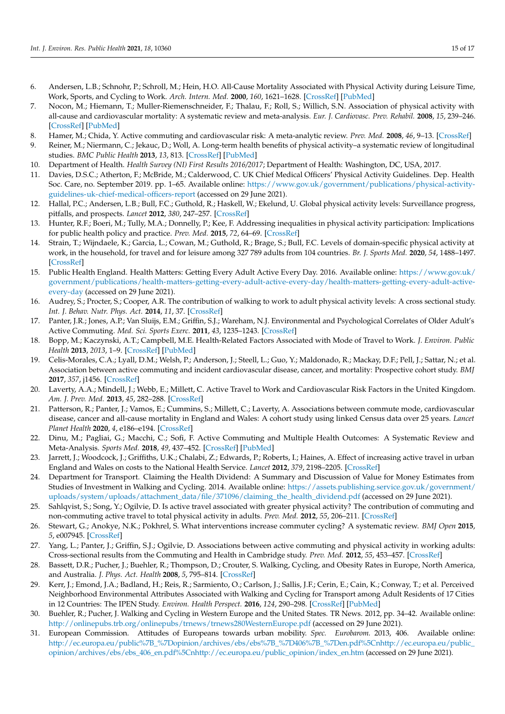- <span id="page-14-0"></span>6. Andersen, L.B.; Schnohr, P.; Schroll, M.; Hein, H.O. All-Cause Mortality Associated with Physical Activity during Leisure Time, Work, Sports, and Cycling to Work. *Arch. Intern. Med.* **2000**, *160*, 1621–1628. [\[CrossRef\]](http://doi.org/10.1001/archinte.160.11.1621) [\[PubMed\]](http://www.ncbi.nlm.nih.gov/pubmed/10847255)
- 7. Nocon, M.; Hiemann, T.; Muller-Riemenschneider, F.; Thalau, F.; Roll, S.; Willich, S.N. Association of physical activity with all-cause and cardiovascular mortality: A systematic review and meta-analysis. *Eur. J. Cardiovasc. Prev. Rehabil.* **2008**, *15*, 239–246. [\[CrossRef\]](http://doi.org/10.1097/HJR.0b013e3282f55e09) [\[PubMed\]](http://www.ncbi.nlm.nih.gov/pubmed/18525377)
- <span id="page-14-10"></span>8. Hamer, M.; Chida, Y. Active commuting and cardiovascular risk: A meta-analytic review. *Prev. Med.* **2008**, *46*, 9–13. [\[CrossRef\]](http://doi.org/10.1016/j.ypmed.2007.03.006)
- <span id="page-14-1"></span>9. Reiner, M.; Niermann, C.; Jekauc, D.; Woll, A. Long-term health benefits of physical activity–a systematic review of longitudinal studies. *BMC Public Health* **2013**, *13*, 813. [\[CrossRef\]](http://doi.org/10.1186/1471-2458-13-813) [\[PubMed\]](http://www.ncbi.nlm.nih.gov/pubmed/24010994)
- <span id="page-14-2"></span>10. Department of Health. *Health Survey (NI) First Results 2016/2017*; Department of Health: Washington, DC, USA, 2017.
- <span id="page-14-3"></span>11. Davies, D.S.C.; Atherton, F.; McBride, M.; Calderwood, C. UK Chief Medical Officers' Physical Activity Guidelines. Dep. Health Soc. Care, no. September 2019. pp. 1–65. Available online: [https://www.gov.uk/government/publications/physical-activity](https://www.gov.uk/government/publications/physical-activity-guidelines-uk-chief-medical-officers-report)[guidelines-uk-chief-medical-officers-report](https://www.gov.uk/government/publications/physical-activity-guidelines-uk-chief-medical-officers-report) (accessed on 29 June 2021).
- <span id="page-14-4"></span>12. Hallal, P.C.; Andersen, L.B.; Bull, F.C.; Guthold, R.; Haskell, W.; Ekelund, U. Global physical activity levels: Surveillance progress, pitfalls, and prospects. *Lancet* **2012**, *380*, 247–257. [\[CrossRef\]](http://doi.org/10.1016/S0140-6736(12)60646-1)
- <span id="page-14-5"></span>13. Hunter, R.F.; Boeri, M.; Tully, M.A.; Donnelly, P.; Kee, F. Addressing inequalities in physical activity participation: Implications for public health policy and practice. *Prev. Med.* **2015**, *72*, 64–69. [\[CrossRef\]](http://doi.org/10.1016/j.ypmed.2014.12.040)
- <span id="page-14-6"></span>14. Strain, T.; Wijndaele, K.; Garcia, L.; Cowan, M.; Guthold, R.; Brage, S.; Bull, F.C. Levels of domain-specific physical activity at work, in the household, for travel and for leisure among 327 789 adults from 104 countries. *Br. J. Sports Med.* **2020**, *54*, 1488–1497. [\[CrossRef\]](http://doi.org/10.1136/bjsports-2020-102601)
- <span id="page-14-7"></span>15. Public Health England. Health Matters: Getting Every Adult Active Every Day. 2016. Available online: [https://www.gov.uk/](https://www.gov.uk/government/publications/health-matters-getting-every-adult-active-every-day/health-matters-getting-every-adult-active-every-day) [government/publications/health-matters-getting-every-adult-active-every-day/health-matters-getting-every-adult-active](https://www.gov.uk/government/publications/health-matters-getting-every-adult-active-every-day/health-matters-getting-every-adult-active-every-day)[every-day](https://www.gov.uk/government/publications/health-matters-getting-every-adult-active-every-day/health-matters-getting-every-adult-active-every-day) (accessed on 29 June 2021).
- <span id="page-14-8"></span>16. Audrey, S.; Procter, S.; Cooper, A.R. The contribution of walking to work to adult physical activity levels: A cross sectional study. *Int. J. Behav. Nutr. Phys. Act.* **2014**, *11*, 37. [\[CrossRef\]](http://doi.org/10.1186/1479-5868-11-37)
- <span id="page-14-9"></span>17. Panter, J.R.; Jones, A.P.; Van Sluijs, E.M.; Griffin, S.J.; Wareham, N.J. Environmental and Psychological Correlates of Older Adult's Active Commuting. *Med. Sci. Sports Exerc.* **2011**, *43*, 1235–1243. [\[CrossRef\]](http://doi.org/10.1249/MSS.0b013e3182078532)
- <span id="page-14-11"></span>18. Bopp, M.; Kaczynski, A.T.; Campbell, M.E. Health-Related Factors Associated with Mode of Travel to Work. *J. Environ. Public Health* **2013**, *2013*, 1–9. [\[CrossRef\]](http://doi.org/10.1155/2013/242383) [\[PubMed\]](http://www.ncbi.nlm.nih.gov/pubmed/23533450)
- 19. Celis-Morales, C.A.; Lyall, D.M.; Welsh, P.; Anderson, J.; Steell, L.; Guo, Y.; Maldonado, R.; Mackay, D.F.; Pell, J.; Sattar, N.; et al. Association between active commuting and incident cardiovascular disease, cancer, and mortality: Prospective cohort study. *BMJ* **2017**, *357*, j1456. [\[CrossRef\]](http://doi.org/10.1136/bmj.j1456)
- 20. Laverty, A.A.; Mindell, J.; Webb, E.; Millett, C. Active Travel to Work and Cardiovascular Risk Factors in the United Kingdom. *Am. J. Prev. Med.* **2013**, *45*, 282–288. [\[CrossRef\]](http://doi.org/10.1016/j.amepre.2013.04.012)
- 21. Patterson, R.; Panter, J.; Vamos, E.; Cummins, S.; Millett, C.; Laverty, A. Associations between commute mode, cardiovascular disease, cancer and all-cause mortality in England and Wales: A cohort study using linked Census data over 25 years. *Lancet Planet Health* **2020**, *4*, e186–e194. [\[CrossRef\]](http://doi.org/10.1016/S2542-5196(20)30079-6)
- <span id="page-14-12"></span>22. Dinu, M.; Pagliai, G.; Macchi, C.; Sofi, F. Active Commuting and Multiple Health Outcomes: A Systematic Review and Meta-Analysis. *Sports Med.* **2018**, *49*, 437–452. [\[CrossRef\]](http://doi.org/10.1007/s40279-018-1023-0) [\[PubMed\]](http://www.ncbi.nlm.nih.gov/pubmed/30446905)
- <span id="page-14-13"></span>23. Jarrett, J.; Woodcock, J.; Griffiths, U.K.; Chalabi, Z.; Edwards, P.; Roberts, I.; Haines, A. Effect of increasing active travel in urban England and Wales on costs to the National Health Service. *Lancet* **2012**, *379*, 2198–2205. [\[CrossRef\]](http://doi.org/10.1016/S0140-6736(12)60766-1)
- <span id="page-14-14"></span>24. Department for Transport. Claiming the Health Dividend: A Summary and Discussion of Value for Money Estimates from Studies of Investment in Walking and Cycling. 2014. Available online: [https://assets.publishing.service.gov.uk/government/](https://assets.publishing.service.gov.uk/government/uploads/system/uploads/attachment_data/file/371096/claiming_the_health_dividend.pdf) [uploads/system/uploads/attachment\\_data/file/371096/claiming\\_the\\_health\\_dividend.pdf](https://assets.publishing.service.gov.uk/government/uploads/system/uploads/attachment_data/file/371096/claiming_the_health_dividend.pdf) (accessed on 29 June 2021).
- <span id="page-14-15"></span>25. Sahlqvist, S.; Song, Y.; Ogilvie, D. Is active travel associated with greater physical activity? The contribution of commuting and non-commuting active travel to total physical activity in adults. *Prev. Med.* **2012**, *55*, 206–211. [\[CrossRef\]](http://doi.org/10.1016/j.ypmed.2012.06.028)
- 26. Stewart, G.; Anokye, N.K.; Pokhrel, S. What interventions increase commuter cycling? A systematic review. *BMJ Open* **2015**, *5*, e007945. [\[CrossRef\]](http://doi.org/10.1136/bmjopen-2015-007945)
- <span id="page-14-16"></span>27. Yang, L.; Panter, J.; Griffin, S.J.; Ogilvie, D. Associations between active commuting and physical activity in working adults: Cross-sectional results from the Commuting and Health in Cambridge study. *Prev. Med.* **2012**, *55*, 453–457. [\[CrossRef\]](http://doi.org/10.1016/j.ypmed.2012.08.019)
- <span id="page-14-17"></span>28. Bassett, D.R.; Pucher, J.; Buehler, R.; Thompson, D.; Crouter, S. Walking, Cycling, and Obesity Rates in Europe, North America, and Australia. *J. Phys. Act. Health* **2008**, *5*, 795–814. [\[CrossRef\]](http://doi.org/10.1123/jpah.5.6.795)
- <span id="page-14-19"></span>29. Kerr, J.; Emond, J.A.; Badland, H.; Reis, R.; Sarmiento, O.; Carlson, J.; Sallis, J.F.; Cerin, E.; Cain, K.; Conway, T.; et al. Perceived Neighborhood Environmental Attributes Associated with Walking and Cycling for Transport among Adult Residents of 17 Cities in 12 Countries: The IPEN Study. *Environ. Health Perspect.* **2016**, *124*, 290–298. [\[CrossRef\]](http://doi.org/10.1289/ehp.1409466) [\[PubMed\]](http://www.ncbi.nlm.nih.gov/pubmed/26186801)
- 30. Buehler, R.; Pucher, J. Walking and Cycling in Western Europe and the United States. TR News. 2012, pp. 34–42. Available online: <http://onlinepubs.trb.org/onlinepubs/trnews/trnews280WesternEurope.pdf> (accessed on 29 June 2021).
- <span id="page-14-18"></span>31. European Commission. Attitudes of Europeans towards urban mobility. *Spec. Eurobarom.* 2013, 406. Available online: [http://ec.europa.eu/public%7B\\_%7Dopinion/archives/ebs/ebs%7B\\_%7D406%7B\\_%7Den.pdf%5Cnhttp://ec.europa.eu/public\\_](http://ec.europa.eu/public%7B_%7Dopinion/archives/ebs/ebs%7B_%7D406%7B_%7Den.pdf%5Cnhttp://ec.europa.eu/public_opinion/archives/ebs/ebs_406_en.pdf%5Cnhttp://ec.europa.eu/public_opinion/index_en.htm) [opinion/archives/ebs/ebs\\_406\\_en.pdf%5Cnhttp://ec.europa.eu/public\\_opinion/index\\_en.htm](http://ec.europa.eu/public%7B_%7Dopinion/archives/ebs/ebs%7B_%7D406%7B_%7Den.pdf%5Cnhttp://ec.europa.eu/public_opinion/archives/ebs/ebs_406_en.pdf%5Cnhttp://ec.europa.eu/public_opinion/index_en.htm) (accessed on 29 June 2021).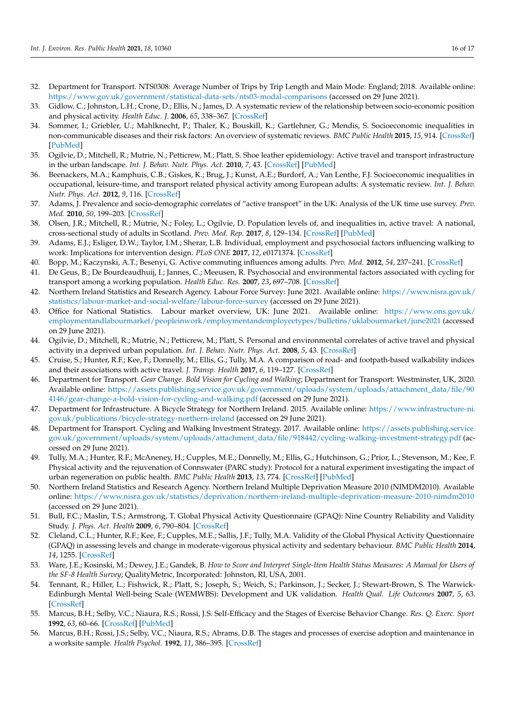- <span id="page-15-0"></span>32. Department for Transport. NTS0308: Average Number of Trips by Trip Length and Main Mode: England; 2018. Available online: <https://www.gov.uk/government/statistical-data-sets/nts03-modal-comparisons> (accessed on 29 June 2021).
- <span id="page-15-1"></span>33. Gidlow, C.; Johnston, L.H.; Crone, D.; Ellis, N.; James, D. A systematic review of the relationship between socio-economic position and physical activity. *Health Educ. J.* **2006**, *65*, 338–367. [\[CrossRef\]](http://doi.org/10.1177/0017896906069378)
- <span id="page-15-2"></span>34. Sommer, I.; Griebler, U.; Mahlknecht, P.; Thaler, K.; Bouskill, K.; Gartlehner, G.; Mendis, S. Socioeconomic inequalities in non-communicable diseases and their risk factors: An overview of systematic reviews. *BMC Public Health* **2015**, *15*, 914. [\[CrossRef\]](http://doi.org/10.1186/s12889-015-2227-y) [\[PubMed\]](http://www.ncbi.nlm.nih.gov/pubmed/26385563)
- <span id="page-15-3"></span>35. Ogilvie, D.; Mitchell, R.; Mutrie, N.; Petticrew, M.; Platt, S. Shoe leather epidemiology: Active travel and transport infrastructure in the urban landscape. *Int. J. Behav. Nutr. Phys. Act.* **2010**, *7*, 43. [\[CrossRef\]](http://doi.org/10.1186/1479-5868-7-43) [\[PubMed\]](http://www.ncbi.nlm.nih.gov/pubmed/20459803)
- <span id="page-15-4"></span>36. Beenackers, M.A.; Kamphuis, C.B.; Giskes, K.; Brug, J.; Kunst, A.E.; Burdorf, A.; Van Lenthe, F.J. Socioeconomic inequalities in occupational, leisure-time, and transport related physical activity among European adults: A systematic review. *Int. J. Behav. Nutr. Phys. Act.* **2012**, *9*, 116. [\[CrossRef\]](http://doi.org/10.1186/1479-5868-9-116)
- <span id="page-15-5"></span>37. Adams, J. Prevalence and socio-demographic correlates of "active transport" in the UK: Analysis of the UK time use survey. *Prev. Med.* **2010**, *50*, 199–203. [\[CrossRef\]](http://doi.org/10.1016/j.ypmed.2010.01.006)
- <span id="page-15-6"></span>38. Olsen, J.R.; Mitchell, R.; Mutrie, N.; Foley, L.; Ogilvie, D. Population levels of, and inequalities in, active travel: A national, cross-sectional study of adults in Scotland. *Prev. Med. Rep.* **2017**, *8*, 129–134. [\[CrossRef\]](http://doi.org/10.1016/j.pmedr.2017.09.008) [\[PubMed\]](http://www.ncbi.nlm.nih.gov/pubmed/29021950)
- <span id="page-15-7"></span>39. Adams, E.J.; Esliger, D.W.; Taylor, I.M.; Sherar, L.B. Individual, employment and psychosocial factors influencing walking to work: Implications for intervention design. *PLoS ONE* **2017**, *12*, e0171374. [\[CrossRef\]](http://doi.org/10.1371/journal.pone.0171374)
- <span id="page-15-24"></span>40. Bopp, M.; Kaczynski, A.T.; Besenyi, G. Active commuting influences among adults. *Prev. Med.* **2012**, *54*, 237–241. [\[CrossRef\]](http://doi.org/10.1016/j.ypmed.2012.01.016)
- <span id="page-15-8"></span>41. De Geus, B.; De Bourdeaudhuij, I.; Jannes, C.; Meeusen, R. Psychosocial and environmental factors associated with cycling for transport among a working population. *Health Educ. Res.* **2007**, *23*, 697–708. [\[CrossRef\]](http://doi.org/10.1093/her/cym055)
- <span id="page-15-9"></span>42. Northern Ireland Statistics and Research Agency. Labour Force Survey: June 2021. Available online: [https://www.nisra.gov.uk/](https://www.nisra.gov.uk/statistics/labour-market-and-social-welfare/labour-force-survey) [statistics/labour-market-and-social-welfare/labour-force-survey](https://www.nisra.gov.uk/statistics/labour-market-and-social-welfare/labour-force-survey) (accessed on 29 June 2021).
- <span id="page-15-10"></span>43. Office for National Statistics. Labour market overview, UK: June 2021. Available online: [https://www.ons.gov.uk/](https://www.ons.gov.uk/employmentandlabourmarket/peopleinwork/employmentandemployeetypes/bulletins/uklabourmarket/june2021) [employmentandlabourmarket/peopleinwork/employmentandemployeetypes/bulletins/uklabourmarket/june2021](https://www.ons.gov.uk/employmentandlabourmarket/peopleinwork/employmentandemployeetypes/bulletins/uklabourmarket/june2021) (accessed on 29 June 2021).
- <span id="page-15-11"></span>44. Ogilvie, D.; Mitchell, R.; Mutrie, N.; Petticrew, M.; Platt, S. Personal and environmental correlates of active travel and physical activity in a deprived urban population. *Int. J. Behav. Nutr. Phys. Act.* **2008**, *5*, 43. [\[CrossRef\]](http://doi.org/10.1186/1479-5868-5-43)
- <span id="page-15-12"></span>45. Cruise, S.; Hunter, R.F.; Kee, F.; Donnelly, M.; Ellis, G.; Tully, M.A. A comparison of road- and footpath-based walkability indices and their associations with active travel. *J. Transp. Health* **2017**, *6*, 119–127. [\[CrossRef\]](http://doi.org/10.1016/j.jth.2017.05.364)
- <span id="page-15-13"></span>46. Department for Transport. *Gear Change. Bold Vision for Cycling and Walking*; Department for Transport: Westminster, UK, 2020. Available online: [https://assets.publishing.service.gov.uk/government/uploads/system/uploads/attachment\\_data/file/90](https://assets.publishing.service.gov.uk/government/uploads/system/uploads/attachment_data/file/904146/gear-change-a-bold-vision-for-cycling-and-walking.pdf) [4146/gear-change-a-bold-vision-for-cycling-and-walking.pdf](https://assets.publishing.service.gov.uk/government/uploads/system/uploads/attachment_data/file/904146/gear-change-a-bold-vision-for-cycling-and-walking.pdf) (accessed on 29 June 2021).
- <span id="page-15-14"></span>47. Department for Infrastructure. A Bicycle Strategy for Northern Ireland. 2015. Available online: [https://www.infrastructure-ni.](https://www.infrastructure-ni.gov.uk/publications/bicycle-strategy-northern-ireland) [gov.uk/publications/bicycle-strategy-northern-ireland](https://www.infrastructure-ni.gov.uk/publications/bicycle-strategy-northern-ireland) (accessed on 29 June 2021).
- <span id="page-15-15"></span>48. Department for Transport. Cycling and Walking Investment Strategy. 2017. Available online: [https://assets.publishing.service.](https://assets.publishing.service.gov.uk/government/uploads/system/uploads/attachment_data/file/918442/cycling-walking-investment-strategy.pdf) [gov.uk/government/uploads/system/uploads/attachment\\_data/file/918442/cycling-walking-investment-strategy.pdf](https://assets.publishing.service.gov.uk/government/uploads/system/uploads/attachment_data/file/918442/cycling-walking-investment-strategy.pdf) (accessed on 29 June 2021).
- <span id="page-15-16"></span>49. Tully, M.A.; Hunter, R.F.; McAneney, H.; Cupples, M.E.; Donnelly, M.; Ellis, G.; Hutchinson, G.; Prior, L.; Stevenson, M.; Kee, F. Physical activity and the rejuvenation of Connswater (PARC study): Protocol for a natural experiment investigating the impact of urban regeneration on public health. *BMC Public Health* **2013**, *13*, 774. [\[CrossRef\]](http://doi.org/10.1186/1471-2458-13-774) [\[PubMed\]](http://www.ncbi.nlm.nih.gov/pubmed/24103381)
- <span id="page-15-17"></span>50. Northern Ireland Statistics and Research Agency. Northern Ireland Multiple Deprivation Measure 2010 (NIMDM2010). Available online: <https://www.nisra.gov.uk/statistics/deprivation/northern-ireland-multiple-deprivation-measure-2010-nimdm2010> (accessed on 29 June 2021).
- <span id="page-15-18"></span>51. Bull, F.C.; Maslin, T.S.; Armstrong, T. Global Physical Activity Questionnaire (GPAQ): Nine Country Reliability and Validity Study. *J. Phys. Act. Health* **2009**, *6*, 790–804. [\[CrossRef\]](http://doi.org/10.1123/jpah.6.6.790)
- <span id="page-15-19"></span>52. Cleland, C.L.; Hunter, R.F.; Kee, F.; Cupples, M.E.; Sallis, J.F.; Tully, M.A. Validity of the Global Physical Activity Questionnaire (GPAQ) in assessing levels and change in moderate-vigorous physical activity and sedentary behaviour. *BMC Public Health* **2014**, *14*, 1255. [\[CrossRef\]](http://doi.org/10.1186/1471-2458-14-1255)
- <span id="page-15-20"></span>53. Ware, J.E.; Kosinski, M.; Dewey, J.E.; Gandek, B. *How to Score and Interpret Single-Item Health Status Measures: A Manual for Users of the SF-8 Health Survey*; QualityMetric, Incorporated: Johnston, RI, USA, 2001.
- <span id="page-15-21"></span>54. Tennant, R.; Hiller, L.; Fishwick, R.; Platt, S.; Joseph, S.; Weich, S.; Parkinson, J.; Secker, J.; Stewart-Brown, S. The Warwick-Edinburgh Mental Well-being Scale (WEMWBS): Development and UK validation. *Health Qual. Life Outcomes* **2007**, *5*, 63. [\[CrossRef\]](http://doi.org/10.1186/1477-7525-5-63)
- <span id="page-15-22"></span>55. Marcus, B.H.; Selby, V.C.; Niaura, R.S.; Rossi, J.S. Self-Efficacy and the Stages of Exercise Behavior Change. *Res. Q. Exerc. Sport* **1992**, *63*, 60–66. [\[CrossRef\]](http://doi.org/10.1080/02701367.1992.10607557) [\[PubMed\]](http://www.ncbi.nlm.nih.gov/pubmed/1574662)
- <span id="page-15-23"></span>56. Marcus, B.H.; Rossi, J.S.; Selby, V.C.; Niaura, R.S.; Abrams, D.B. The stages and processes of exercise adoption and maintenance in a worksite sample. *Health Psychol.* **1992**, *11*, 386–395. [\[CrossRef\]](http://doi.org/10.1037/0278-6133.11.6.386)